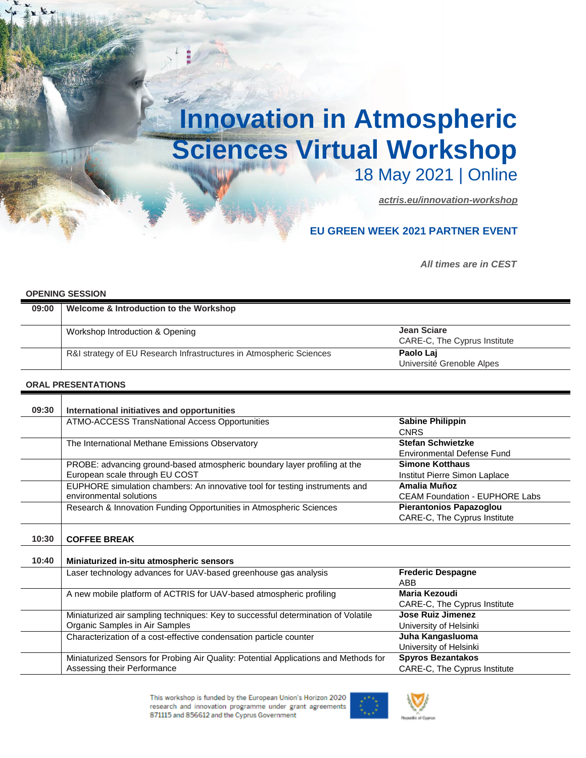## **Innovation in Atmospheric Sciences Virtual Workshop** 18 May 2021 | Online

*[actris.eu/innovation-workshop](https://www.actris.eu/innovation-workshop)*

## **EU GREEN WEEK 2021 PARTNER EVENT**

**All times are in CEST** 

## **OPENING SESSION**

| 09:00 | Welcome & Introduction to the Workshop                              |                              |  |
|-------|---------------------------------------------------------------------|------------------------------|--|
|       | Workshop Introduction & Opening                                     | Jean Sciare                  |  |
|       |                                                                     | CARE-C, The Cyprus Institute |  |
|       | R&I strategy of EU Research Infrastructures in Atmospheric Sciences | Paolo Laj                    |  |
|       |                                                                     | Université Grenoble Alpes    |  |

## **ORAL PRESENTATIONS**

| 09:30 | International initiatives and opportunities                                       |                                       |
|-------|-----------------------------------------------------------------------------------|---------------------------------------|
|       | ATMO-ACCESS TransNational Access Opportunities                                    | <b>Sabine Philippin</b>               |
|       |                                                                                   | <b>CNRS</b>                           |
|       | The International Methane Emissions Observatory                                   | <b>Stefan Schwietzke</b>              |
|       |                                                                                   | <b>Environmental Defense Fund</b>     |
|       | PROBE: advancing ground-based atmospheric boundary layer profiling at the         | <b>Simone Kotthaus</b>                |
|       | European scale through EU COST                                                    | Institut Pierre Simon Laplace         |
|       | EUPHORE simulation chambers: An innovative tool for testing instruments and       | Amalia Muñoz                          |
|       | environmental solutions                                                           | <b>CEAM Foundation - EUPHORE Labs</b> |
|       | Research & Innovation Funding Opportunities in Atmospheric Sciences               | Pierantonios Papazoglou               |
|       |                                                                                   | CARE-C, The Cyprus Institute          |
|       |                                                                                   |                                       |
| 10:30 | <b>COFFEE BREAK</b>                                                               |                                       |
| 10:40 | Miniaturized in-situ atmospheric sensors                                          |                                       |
|       | Laser technology advances for UAV-based greenhouse gas analysis                   | <b>Frederic Despagne</b><br>ABB       |
|       | A new mobile platform of ACTRIS for UAV-based atmospheric profiling               | <b>Maria Kezoudi</b>                  |
|       |                                                                                   | CARE-C, The Cyprus Institute          |
|       | Miniaturized air sampling techniques: Key to successful determination of Volatile | Jose Ruiz Jimenez                     |
|       | Organic Samples in Air Samples                                                    | University of Helsinki                |
|       | Characterization of a cost-effective condensation particle counter                | Juha Kangasluoma                      |
|       |                                                                                   | University of Helsinki                |

Miniaturized Sensors for Probing Air Quality: Potential Applications and Methods for Assessing their Performance **Spyros Bezantakos** CARE-C, The Cyprus Institute

> This workshop is funded by the European Union's Horizon 2020 research and innovation programme under grant agreements 871115 and 856612 and the Cyprus Government



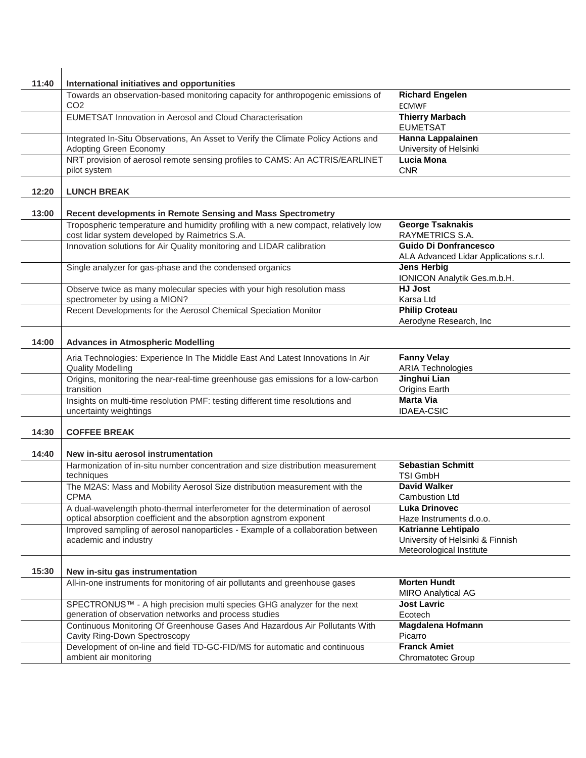| 11:40 | International initiatives and opportunities                                                                                                            |                                                                                            |
|-------|--------------------------------------------------------------------------------------------------------------------------------------------------------|--------------------------------------------------------------------------------------------|
|       | Towards an observation-based monitoring capacity for anthropogenic emissions of<br>CO <sub>2</sub>                                                     | <b>Richard Engelen</b><br><b>ECMWF</b>                                                     |
|       | EUMETSAT Innovation in Aerosol and Cloud Characterisation                                                                                              | <b>Thierry Marbach</b><br><b>EUMETSAT</b>                                                  |
|       | Integrated In-Situ Observations, An Asset to Verify the Climate Policy Actions and<br>Adopting Green Economy                                           | <b>Hanna Lappalainen</b><br>University of Helsinki                                         |
|       | NRT provision of aerosol remote sensing profiles to CAMS: An ACTRIS/EARLINET<br>pilot system                                                           | <b>Lucia Mona</b><br><b>CNR</b>                                                            |
| 12:20 | <b>LUNCH BREAK</b>                                                                                                                                     |                                                                                            |
| 13:00 | Recent developments in Remote Sensing and Mass Spectrometry                                                                                            |                                                                                            |
|       | Tropospheric temperature and humidity profiling with a new compact, relatively low<br>cost lidar system developed by Raimetrics S.A.                   | <b>George Tsaknakis</b><br>RAYMETRICS S.A.                                                 |
|       | Innovation solutions for Air Quality monitoring and LIDAR calibration                                                                                  | <b>Guido Di Donfrancesco</b><br>ALA Advanced Lidar Applications s.r.l.                     |
|       | Single analyzer for gas-phase and the condensed organics                                                                                               | <b>Jens Herbig</b><br>IONICON Analytik Ges.m.b.H.                                          |
|       | Observe twice as many molecular species with your high resolution mass<br>spectrometer by using a MION?                                                | <b>HJ Jost</b><br>Karsa Ltd                                                                |
|       | Recent Developments for the Aerosol Chemical Speciation Monitor                                                                                        | <b>Philip Croteau</b><br>Aerodyne Research, Inc                                            |
| 14:00 | <b>Advances in Atmospheric Modelling</b>                                                                                                               |                                                                                            |
|       | Aria Technologies: Experience In The Middle East And Latest Innovations In Air<br><b>Quality Modelling</b>                                             | <b>Fanny Velay</b><br><b>ARIA Technologies</b>                                             |
|       | Origins, monitoring the near-real-time greenhouse gas emissions for a low-carbon<br>transition                                                         | Jinghui Lian<br>Origins Earth                                                              |
|       | Insights on multi-time resolution PMF: testing different time resolutions and<br>uncertainty weightings                                                | <b>Marta Via</b><br><b>IDAEA-CSIC</b>                                                      |
| 14:30 | <b>COFFEE BREAK</b>                                                                                                                                    |                                                                                            |
| 14:40 | New in-situ aerosol instrumentation                                                                                                                    |                                                                                            |
|       | Harmonization of in-situ number concentration and size distribution measurement<br>techniques                                                          | <b>Sebastian Schmitt</b><br><b>TSI GmbH</b>                                                |
|       | The M2AS: Mass and Mobility Aerosol Size distribution measurement with the<br><b>CPMA</b>                                                              | <b>David Walker</b><br><b>Cambustion Ltd</b>                                               |
|       | A dual-wavelength photo-thermal interferometer for the determination of aerosol<br>optical absorption coefficient and the absorption agnstrom exponent | Luka Drinovec<br>Haze Instruments d.o.o.                                                   |
|       | Improved sampling of aerosol nanoparticles - Example of a collaboration between<br>academic and industry                                               | <b>Katrianne Lehtipalo</b><br>University of Helsinki & Finnish<br>Meteorological Institute |
| 15:30 | New in-situ gas instrumentation                                                                                                                        |                                                                                            |
|       | All-in-one instruments for monitoring of air pollutants and greenhouse gases                                                                           | <b>Morten Hundt</b><br><b>MIRO Analytical AG</b>                                           |
|       | SPECTRONUS™ - A high precision multi species GHG analyzer for the next<br>generation of observation networks and process studies                       | <b>Jost Lavric</b><br>Ecotech                                                              |
|       | Continuous Monitoring Of Greenhouse Gases And Hazardous Air Pollutants With<br>Cavity Ring-Down Spectroscopy                                           | <b>Magdalena Hofmann</b><br>Picarro                                                        |
|       | Development of on-line and field TD-GC-FID/MS for automatic and continuous<br>ambient air monitoring                                                   | <b>Franck Amiet</b><br><b>Chromatotec Group</b>                                            |